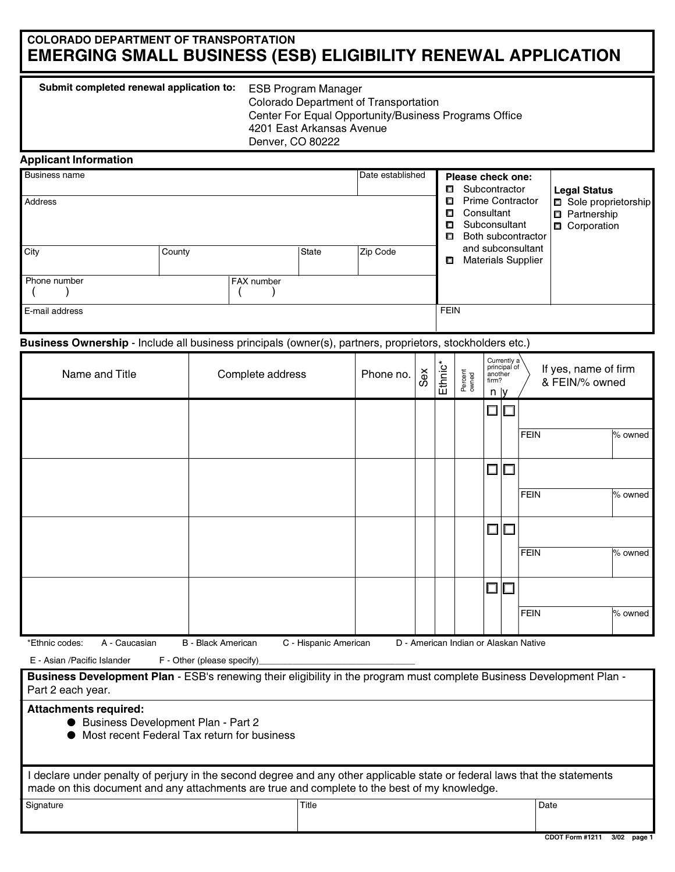# COLORADO DEPARTMENT OF TRANSPORTATION EMERGING SMALL BUSINESS (ESB) ELIGIBILITY RENEWAL APPLICATION

| Submit completed renewal application to: | <b>ESB Program Manager</b>                            |
|------------------------------------------|-------------------------------------------------------|
|                                          | Colorado Department of Transportation                 |
|                                          | Center For Equal Opportunity/Business Programs Office |
|                                          | 4201 East Arkansas Avenue                             |
|                                          | Denver, CO 80222                                      |

### Applicant Information

| <b>Business name</b><br>Address |              |                   | Date established | п<br>о<br>α<br>о<br>n                          | Please check one:<br>Subcontractor<br><b>Prime Contractor</b><br>Consultant<br>Subconsultant<br>Both subcontractor | <b>Legal Status</b><br>Sole proprietorship<br><b>D</b> Partnership<br>Corporation |
|---------------------------------|--------------|-------------------|------------------|------------------------------------------------|--------------------------------------------------------------------------------------------------------------------|-----------------------------------------------------------------------------------|
| City                            | <b>State</b> | Zip Code          | O                | and subconsultant<br><b>Materials Supplier</b> |                                                                                                                    |                                                                                   |
| Phone number                    |              | <b>FAX</b> number |                  |                                                |                                                                                                                    |                                                                                   |
| <b>E-mail address</b>           |              |                   |                  | <b>FEIN</b>                                    |                                                                                                                    |                                                                                   |

Business Ownership - Include all business principals (owner(s), partners, proprietors, stockholders etc.)

| Name and Title                  | Complete address                                   | Phone no. | Sex | Ethnic <sup>*</sup> | Percent<br>owned                      | $n \mid y$           | Currently a<br>principal of<br>another<br>firm? |             | If yes, name of firm<br>& FEIN/% owned |         |
|---------------------------------|----------------------------------------------------|-----------|-----|---------------------|---------------------------------------|----------------------|-------------------------------------------------|-------------|----------------------------------------|---------|
|                                 |                                                    |           |     |                     |                                       | $\square \, \square$ |                                                 | FEIN        |                                        | % owned |
|                                 |                                                    |           |     |                     |                                       |                      | 00                                              |             |                                        |         |
|                                 |                                                    |           |     |                     |                                       |                      |                                                 | FEIN        |                                        | % owned |
|                                 |                                                    |           |     |                     |                                       |                      | $\Box$ $\Box$                                   | FEIN        |                                        | % owned |
|                                 |                                                    |           |     |                     |                                       | $\Box$ $\Box$        |                                                 |             |                                        |         |
|                                 |                                                    |           |     |                     |                                       |                      |                                                 | <b>FEIN</b> |                                        | % owned |
| *Ethnic codes:<br>A - Caucasian | C - Hispanic American<br><b>B</b> - Black American |           |     |                     | D - American Indian or Alaskan Native |                      |                                                 |             |                                        |         |

E - Asian /Pacific Islander F - Other (please specify)

Business Development Plan - ESB's renewing their eligibility in the program must complete Business Development Plan -Part 2 each year.

### Attachments required:

- Business Development Plan Part 2
- Most recent Federal Tax return for business

I declare under penalty of perjury in the second degree and any other applicable state or federal laws that the statements made on this document and any attachments are true and complete to the best of my knowledge.

| Signature | Title | <sup>'</sup> Date |
|-----------|-------|-------------------|
|           |       |                   |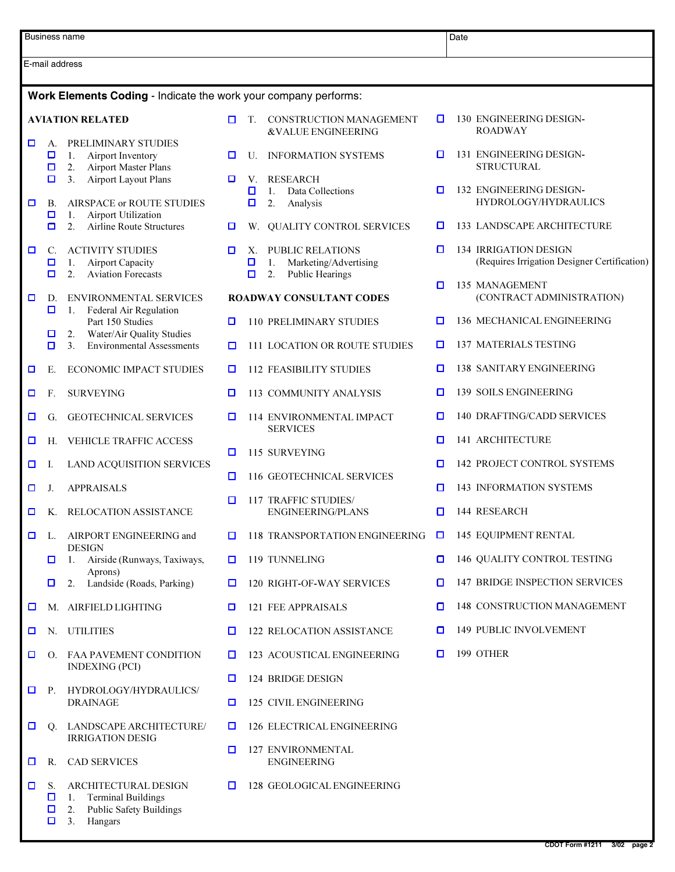|   |                                     | Business name                                                                                                    |   |                   |                                                                                        |        | Date                                                                         |
|---|-------------------------------------|------------------------------------------------------------------------------------------------------------------|---|-------------------|----------------------------------------------------------------------------------------|--------|------------------------------------------------------------------------------|
|   |                                     | E-mail address                                                                                                   |   |                   |                                                                                        |        |                                                                              |
|   |                                     | Work Elements Coding - Indicate the work your company performs:                                                  |   |                   |                                                                                        |        |                                                                              |
|   |                                     | <b>AVIATION RELATED</b>                                                                                          | 0 | T.                | CONSTRUCTION MANAGEMENT<br>&VALUE ENGINEERING                                          | o      | 130 ENGINEERING DESIGN-<br><b>ROADWAY</b>                                    |
| О | A.<br>$\Box$<br>$\Box$              | PRELIMINARY STUDIES<br>1.<br>Airport Inventory<br>2.<br>Airport Master Plans                                     | O | U.                | <b>INFORMATION SYSTEMS</b>                                                             | O      | 131 ENGINEERING DESIGN-<br><b>STRUCTURAL</b>                                 |
| о | $\Box$<br><b>B.</b>                 | <b>Airport Layout Plans</b><br>3.<br><b>AIRSPACE or ROUTE STUDIES</b>                                            | 0 | V.<br>О<br>$\Box$ | <b>RESEARCH</b><br>Data Collections<br>$\mathbf{1}$ .<br>2.<br>Analysis                | о      | 132 ENGINEERING DESIGN-<br>HYDROLOGY/HYDRAULICS                              |
|   | $\Box$<br>О                         | 1.<br>Airport Utilization<br>2.<br><b>Airline Route Structures</b>                                               | o |                   | W. QUALITY CONTROL SERVICES                                                            | O      | 133 LANDSCAPE ARCHITECTURE                                                   |
| О | $\mathcal{C}$ .<br>$\Box$<br>$\Box$ | <b>ACTIVITY STUDIES</b><br><b>Airport Capacity</b><br>1.<br>2.<br><b>Aviation Forecasts</b>                      | O | Х.<br>О<br>$\Box$ | <b>PUBLIC RELATIONS</b><br>1.<br>Marketing/Advertising<br>2.<br><b>Public Hearings</b> | O      | <b>134 IRRIGATION DESIGN</b><br>(Requires Irrigation Designer Certification) |
| □ | D.<br>$\Box$                        | <b>ENVIRONMENTAL SERVICES</b><br>Federal Air Regulation<br>1.                                                    |   |                   | <b>ROADWAY CONSULTANT CODES</b>                                                        | о      | 135 MANAGEMENT<br>(CONTRACT ADMINISTRATION)                                  |
|   |                                     | Part 150 Studies                                                                                                 | O |                   | <b>110 PRELIMINARY STUDIES</b>                                                         | o      | 136 MECHANICAL ENGINEERING                                                   |
|   | □<br>0                              | Water/Air Quality Studies<br>2.<br><b>Environmental Assessments</b><br>3 <sub>1</sub>                            | ◘ |                   | <b>111 LOCATION OR ROUTE STUDIES</b>                                                   | o      | <b>137 MATERIALS TESTING</b>                                                 |
| O | Е.                                  | <b>ECONOMIC IMPACT STUDIES</b>                                                                                   | □ |                   | <b>112 FEASIBILITY STUDIES</b>                                                         | □      | <b>138 SANITARY ENGINEERING</b>                                              |
| O | F.                                  | <b>SURVEYING</b>                                                                                                 | ◘ |                   | 113 COMMUNITY ANALYSIS                                                                 | o      | <b>139 SOILS ENGINEERING</b>                                                 |
| ◘ | G.                                  | <b>GEOTECHNICAL SERVICES</b>                                                                                     | ◘ |                   | 114 ENVIRONMENTAL IMPACT<br><b>SERVICES</b>                                            | o      | 140 DRAFTING/CADD SERVICES                                                   |
| ◘ | Н.                                  | VEHICLE TRAFFIC ACCESS                                                                                           | □ |                   |                                                                                        | o      | 141 ARCHITECTURE                                                             |
| ◘ | Ι.                                  | LAND ACQUISITION SERVICES                                                                                        |   |                   | 115 SURVEYING                                                                          | o      | <b>142 PROJECT CONTROL SYSTEMS</b>                                           |
| о | J.                                  | <b>APPRAISALS</b>                                                                                                | О |                   | 116 GEOTECHNICAL SERVICES                                                              | O      | <b>143 INFORMATION SYSTEMS</b>                                               |
| ◘ | Κ.                                  | <b>RELOCATION ASSISTANCE</b>                                                                                     | ◘ |                   | 117 TRAFFIC STUDIES/<br><b>ENGINEERING/PLANS</b>                                       | □      | 144 RESEARCH                                                                 |
| О | L.                                  | AIRPORT ENGINEERING and<br><b>DESIGN</b>                                                                         | ◘ |                   | 118 TRANSPORTATION ENGINEERING                                                         | $\Box$ | <b>145 EQUIPMENT RENTAL</b>                                                  |
|   | □                                   | Airside (Runways, Taxiways,<br>$\overline{1}$ .<br>Aprons)                                                       | □ |                   | 119 TUNNELING                                                                          | 0      | 146 QUALITY CONTROL TESTING                                                  |
|   | 0                                   | Landside (Roads, Parking)<br>2.                                                                                  | o |                   | <b>120 RIGHT-OF-WAY SERVICES</b>                                                       | О      | <b>147 BRIDGE INSPECTION SERVICES</b>                                        |
| O | М.                                  | AIRFIELD LIGHTING                                                                                                | o |                   | 121 FEE APPRAISALS                                                                     | O      | 148 CONSTRUCTION MANAGEMENT                                                  |
| O | N.                                  | <b>UTILITIES</b>                                                                                                 | □ |                   | 122 RELOCATION ASSISTANCE                                                              | □      | 149 PUBLIC INVOLVEMENT                                                       |
| α |                                     | O. FAA PAVEMENT CONDITION<br><b>INDEXING (PCI)</b>                                                               | o |                   | 123 ACOUSTICAL ENGINEERING                                                             | O      | 199 OTHER                                                                    |
| о | Р.                                  | HYDROLOGY/HYDRAULICS/                                                                                            | □ |                   | 124 BRIDGE DESIGN                                                                      |        |                                                                              |
|   |                                     | <b>DRAINAGE</b>                                                                                                  | o |                   | 125 CIVIL ENGINEERING                                                                  |        |                                                                              |
| о | O.                                  | LANDSCAPE ARCHITECTURE/<br><b>IRRIGATION DESIG</b>                                                               | □ |                   | 126 ELECTRICAL ENGINEERING                                                             |        |                                                                              |
| □ | R.                                  | <b>CAD SERVICES</b>                                                                                              | o |                   | <b>127 ENVIRONMENTAL</b><br><b>ENGINEERING</b>                                         |        |                                                                              |
| 0 | S.<br>□<br>$\Box$<br>$\Box$         | ARCHITECTURAL DESIGN<br><b>Terminal Buildings</b><br>1.<br><b>Public Safety Buildings</b><br>2.<br>3.<br>Hangars | □ |                   | 128 GEOLOGICAL ENGINEERING                                                             |        |                                                                              |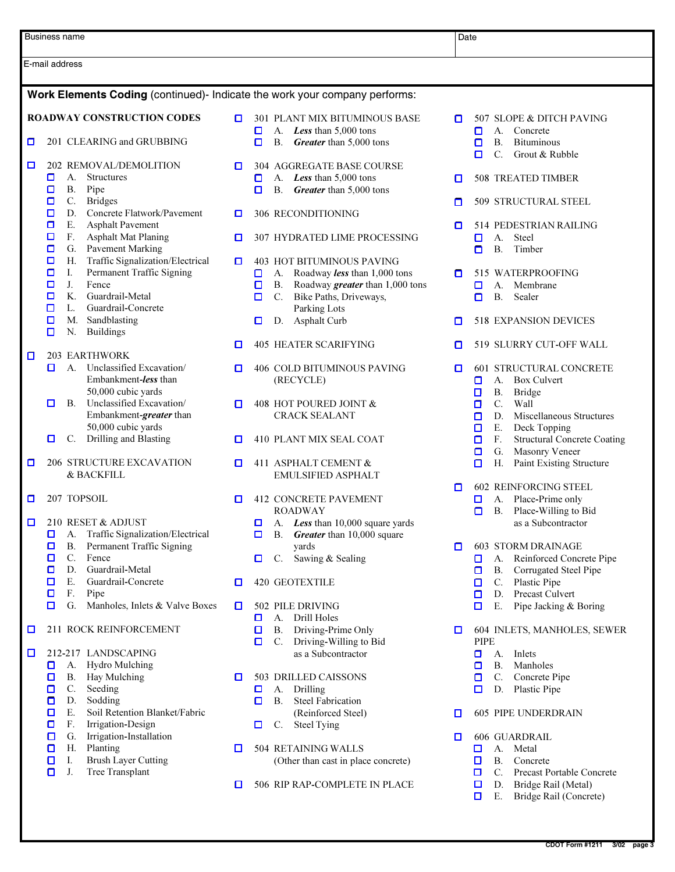|                                                                            | Business name                                                                                                           |             |             |                 |                                                                                                                       | Date |                                                                                                                                |  |
|----------------------------------------------------------------------------|-------------------------------------------------------------------------------------------------------------------------|-------------|-------------|-----------------|-----------------------------------------------------------------------------------------------------------------------|------|--------------------------------------------------------------------------------------------------------------------------------|--|
| E-mail address                                                             |                                                                                                                         |             |             |                 |                                                                                                                       |      |                                                                                                                                |  |
| Work Elements Coding (continued)- Indicate the work your company performs: |                                                                                                                         |             |             |                 |                                                                                                                       |      |                                                                                                                                |  |
|                                                                            | <b>ROADWAY CONSTRUCTION CODES</b>                                                                                       | о           | o           |                 | <b>301 PLANT MIX BITUMINOUS BASE</b><br>A. Less than 5,000 tons                                                       | о    | 507 SLOPE & DITCH PAVING<br>A.<br>Concrete<br>o                                                                                |  |
| о                                                                          | 201 CLEARING and GRUBBING                                                                                               |             | $\Box$      | <b>B.</b>       | Greater than 5,000 tons                                                                                               |      | <b>B.</b><br><b>Bituminous</b><br>о<br>C.<br>Grout & Rubble<br>о                                                               |  |
| □                                                                          | 202 REMOVAL/DEMOLITION<br>о<br>А.<br><b>Structures</b><br><b>B.</b><br>Pipe<br>◘                                        | о           | o<br>о      |                 | 304 AGGREGATE BASE COURSE<br>A. Less than 5,000 tons<br>B. Greater than 5,000 tons                                    | о    | 508 TREATED TIMBER                                                                                                             |  |
|                                                                            | $C_{\cdot}$<br><b>Bridges</b><br>◘<br>Concrete Flatwork/Pavement<br>D.<br>О                                             | O           |             |                 | 306 RECONDITIONING                                                                                                    | □    | 509 STRUCTURAL STEEL                                                                                                           |  |
|                                                                            | Ε.<br><b>Asphalt Pavement</b><br>о<br>$F_{\star}$<br>$\Box$<br><b>Asphalt Mat Planing</b>                               | O           |             |                 | 307 HYDRATED LIME PROCESSING                                                                                          | O    | 514 PEDESTRIAN RAILING<br>A.<br>O<br>Steel                                                                                     |  |
|                                                                            | Pavement Marking<br>$\Box$<br>G.<br>Traffic Signalization/Electrical<br>О<br>Н.                                         | o           |             |                 | <b>403 HOT BITUMINOUS PAVING</b>                                                                                      |      | <b>B.</b><br>Timber<br>α                                                                                                       |  |
|                                                                            | Permanent Traffic Signing<br>Ι.<br>◘<br>J.<br>Fence<br>о<br>K.<br>Guardrail-Metal<br>◘<br>Guardrail-Concrete<br>◘<br>L. |             | о<br>o<br>о | A.<br>В.        | Roadway less than 1,000 tons<br>Roadway $\emph{greater}$ than 1,000 tons<br>C. Bike Paths, Driveways,<br>Parking Lots | ο    | 515 WATERPROOFING<br>Membrane<br>О<br>А.<br><b>B.</b><br>Sealer<br>o                                                           |  |
|                                                                            | $\Box$<br>Sandblasting<br>М.<br>N.<br><b>Buildings</b><br>П                                                             |             | α           |                 | D. Asphalt Curb                                                                                                       | □    | <b>518 EXPANSION DEVICES</b>                                                                                                   |  |
| $\Box$                                                                     | <b>203 EARTHWORK</b>                                                                                                    | □           |             |                 | <b>405 HEATER SCARIFYING</b>                                                                                          | O    | 519 SLURRY CUT-OFF WALL                                                                                                        |  |
|                                                                            | A. Unclassified Excavation/<br>α<br>Embankment-less than<br>50,000 cubic yards                                          | O           |             |                 | 406 COLD BITUMINOUS PAVING<br>(RECYCLE)                                                                               | o    | <b>601 STRUCTURAL CONCRETE</b><br>A.<br><b>Box Culvert</b><br>0<br><b>B.</b><br><b>Bridge</b><br>◘                             |  |
|                                                                            | Unclassified Excavation/<br><b>B.</b><br>0<br>Embankment-greater than<br>50,000 cubic yards                             | O           |             |                 | 408 HOT POURED JOINT &<br><b>CRACK SEALANT</b>                                                                        |      | $C_{\cdot}$<br>Wall<br>o<br>Miscellaneous Structures<br>D.<br>о<br>Е.<br>Deck Topping<br>□                                     |  |
| о                                                                          | Drilling and Blasting<br>0<br>C.<br>206 STRUCTURE EXCAVATION                                                            | O<br>$\Box$ |             |                 | 410 PLANT MIX SEAL COAT<br>411 ASPHALT CEMENT &                                                                       |      | $F_{\cdot}$<br><b>Structural Concrete Coating</b><br>o<br>Masonry Veneer<br>G.<br>о<br>Н.<br>Paint Existing Structure<br>□     |  |
|                                                                            | <b>&amp; BACKFILL</b>                                                                                                   |             |             |                 | <b>EMULSIFIED ASPHALT</b>                                                                                             | ◘    | <b>602 REINFORCING STEEL</b>                                                                                                   |  |
| о                                                                          | 207 TOPSOIL                                                                                                             | □           |             |                 | <b>412 CONCRETE PAVEMENT</b><br><b>ROADWAY</b>                                                                        |      | Place-Prime only<br>A.<br>□<br>Place-Willing to Bid<br>В.<br>◘                                                                 |  |
| □                                                                          | 210 RESET & ADJUST<br>Traffic Signalization/Electrical<br>◘<br>А.<br>Permanent Traffic Signing<br>◘<br><b>B.</b>        |             | O<br>□      |                 | A. Less than 10,000 square yards<br>B. Greater than 10,000 square<br>yards                                            | □    | as a Subcontractor<br><b>603 STORM DRAINAGE</b>                                                                                |  |
|                                                                            | C.<br>Fence<br>$\Box$<br>Guardrail-Metal<br>D.<br>о                                                                     |             | ◘           | $C_{\cdot}$     | Sawing & Sealing                                                                                                      |      | Reinforced Concrete Pipe<br>A.<br>0<br>Corrugated Steel Pipe<br><b>B.</b><br>◘                                                 |  |
|                                                                            | Ε.<br>Guardrail-Concrete<br>◘<br>F.<br>о<br>Pipe                                                                        | O           |             |                 | <b>420 GEOTEXTILE</b>                                                                                                 |      | Plastic Pipe<br>C.<br>o<br>Precast Culvert<br>D.<br>□                                                                          |  |
| □                                                                          | $\Box$<br>G.<br>Manholes, Inlets & Valve Boxes<br>211 ROCK REINFORCEMENT                                                | o           | α<br>О<br>o | A.<br>В.<br>C.  | 502 PILE DRIVING<br>Drill Holes<br>Driving-Prime Only<br>Driving-Willing to Bid                                       | □    | $\Box$<br>Е.<br>Pipe Jacking & Boring<br>604 INLETS, MANHOLES, SEWER<br>PIPE                                                   |  |
| □                                                                          | 212-217 LANDSCAPING                                                                                                     |             |             |                 | as a Subcontractor                                                                                                    |      | α<br>A.<br>Inlets                                                                                                              |  |
|                                                                            | <b>Hydro Mulching</b><br>α<br>A.<br>Hay Mulching<br>о<br>Β.<br>Seeding<br>C.<br>о<br>Sodding<br>D.<br>О                 | ◘           | O<br>o      | А.<br><b>B.</b> | 503 DRILLED CAISSONS<br>Drilling<br><b>Steel Fabrication</b>                                                          |      | <b>B.</b><br>Manholes<br>О<br>Concrete Pipe<br>C.<br>О<br>D. Plastic Pipe<br>□                                                 |  |
|                                                                            | Ε.<br>Soil Retention Blanket/Fabric<br>О<br>О<br>F.<br>Irrigation-Design                                                |             | □           | C.              | (Reinforced Steel)<br><b>Steel Tying</b>                                                                              | □    | <b>605 PIPE UNDERDRAIN</b>                                                                                                     |  |
|                                                                            | Irrigation-Installation<br>о<br>G.<br>Planting<br>Н.<br>о<br><b>Brush Layer Cutting</b><br>Ι.<br>α                      | ◘           |             |                 | 504 RETAINING WALLS<br>(Other than cast in place concrete)                                                            | o    | <b>606 GUARDRAIL</b><br>А.<br>Metal<br>□<br>$\Box$<br><b>B.</b><br>Concrete                                                    |  |
|                                                                            | Tree Transplant<br>J.<br>О                                                                                              | О           |             |                 | 506 RIP RAP-COMPLETE IN PLACE                                                                                         |      | $\Box$<br>$C_{\cdot}$<br>Precast Portable Concrete<br>$\Box$<br>D.<br>Bridge Rail (Metal)<br>Ε.<br>Bridge Rail (Concrete)<br>o |  |
|                                                                            |                                                                                                                         |             |             |                 |                                                                                                                       |      |                                                                                                                                |  |